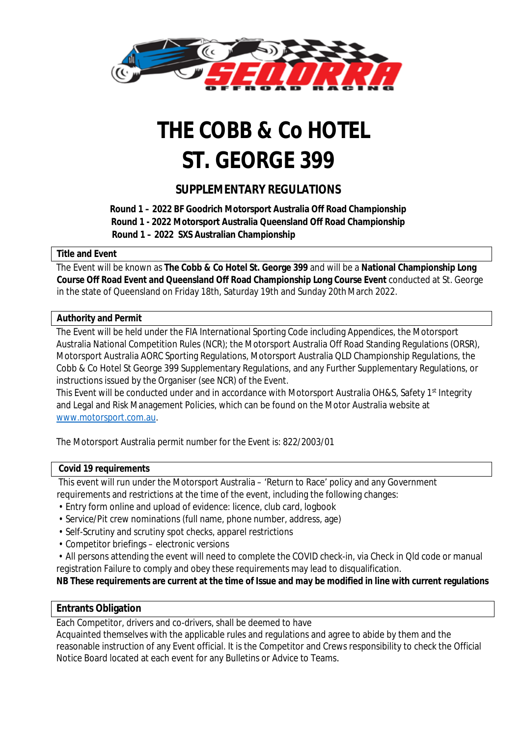

# **THE COBB & Co HOTEL ST. GEORGE 399**

# **SUPPLEMENTARY REGULATIONS**

**Round 1 – 2022 BF Goodrich Motorsport Australia Off Road Championship Round 1 - 2022 Motorsport Australia Queensland Off Road Championship** 

 **Round 1 – 2022 SXS Australian Championship**

#### **Title and Event**

The Event will be known as **The Cobb & Co Hotel St. George 399** and will be a **National Championship Long Course Off Road Event and Queensland Off Road Championship Long Course Event** conducted at St. George in the state of Queensland on Friday 18th, Saturday 19th and Sunday 20th March 2022.

#### **Authority and Permit**

The Event will be held under the FIA International Sporting Code including Appendices, the Motorsport Australia National Competition Rules (NCR); the Motorsport Australia Off Road Standing Regulations (ORSR), Motorsport Australia AORC Sporting Regulations, Motorsport Australia QLD Championship Regulations, the Cobb & Co Hotel St George 399 Supplementary Regulations, and any Further Supplementary Regulations, or instructions issued by the Organiser (see NCR) of the Event.

This Event will be conducted under and in accordance with Motorsport Australia OH&S, Safety 1<sup>st</sup> Integrity and Legal and Risk Management Policies, which can be found on the Motor Australia website at [www.motorsport.com.au.](http://www.motorsport.com.au/)

The Motorsport Australia permit number for the Event is: 822/2003/01

#### **Covid 19 requirements**

This event will run under the Motorsport Australia – 'Return to Race' policy and any Government requirements and restrictions at the time of the event, including the following changes:

- Entry form online and upload of evidence: licence, club card, logbook
- Service/Pit crew nominations (full name, phone number, address, age)
- Self-Scrutiny and scrutiny spot checks, apparel restrictions
- Competitor briefings electronic versions
- All persons attending the event will need to complete the COVID check-in, via Check in Qld code or manual registration Failure to comply and obey these requirements may lead to disqualification.

**NB These requirements are current at the time of Issue and may be modified in line with current regulations**

#### **Entrants Obligation**

Each Competitor, drivers and co-drivers, shall be deemed to have

Acquainted themselves with the applicable rules and regulations and agree to abide by them and the reasonable instruction of any Event official. It is the Competitor and Crews responsibility to check the Official Notice Board located at each event for any Bulletins or Advice to Teams.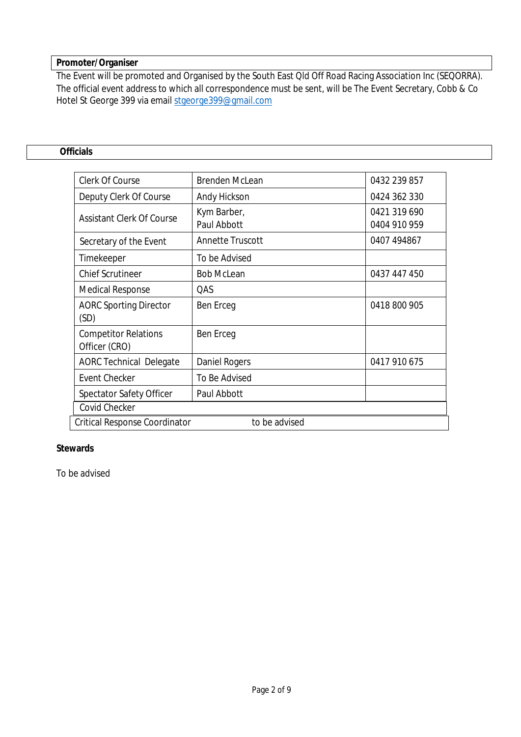## **Promoter/Organiser**

The Event will be promoted and Organised by the South East Qld Off Road Racing Association Inc (SEQORRA). The official event address to which all correspondence must be sent, will be The Event Secretary, Cobb & Co Hotel St George 399 via email [stgeorge399@gmail.com](mailto:stgeorge399@gmail.com)

#### **Officials**

| <b>Clerk Of Course</b>                       | <b>Brenden McLean</b>      | 0432 239 857 |
|----------------------------------------------|----------------------------|--------------|
| Deputy Clerk Of Course                       | Andy Hickson               | 0424 362 330 |
| <b>Assistant Clerk Of Course</b>             | Kym Barber,<br>Paul Abbott | 0421 319 690 |
|                                              |                            | 0404 910 959 |
| Secretary of the Event                       | Annette Truscott           | 0407 494867  |
| Timekeeper                                   | To be Advised              |              |
| <b>Chief Scrutineer</b>                      | <b>Bob McLean</b>          | 0437 447 450 |
| <b>Medical Response</b>                      | QAS                        |              |
| <b>AORC Sporting Director</b><br>(SD)        | Ben Erceg                  | 0418 800 905 |
| <b>Competitor Relations</b><br>Officer (CRO) | Ben Erceg                  |              |
| <b>AORC Technical Delegate</b>               | Daniel Rogers              | 0417 910 675 |
| <b>Event Checker</b>                         | To Be Advised              |              |
| Spectator Safety Officer                     | Paul Abbott                |              |
| Covid Checker                                |                            |              |
| <b>Critical Response Coordinator</b>         | to be advised              |              |

#### **Stewards**

To be advised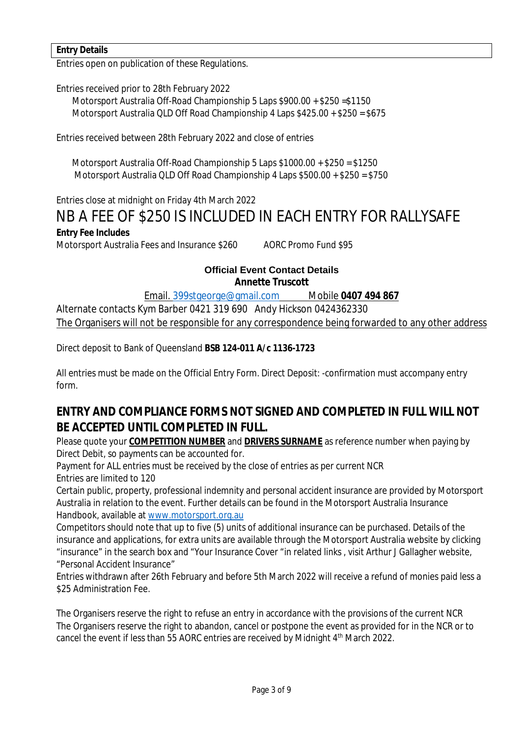#### **Entry Details**

Entries open on publication of these Regulations.

Entries received prior to 28th February 2022

Motorsport Australia Off-Road Championship 5 Laps \$900.00 + \$250 =\$1150 Motorsport Australia QLD Off Road Championship 4 Laps \$425.00 + \$250 = \$675

Entries received between 28th February 2022 and close of entries

Motorsport Australia Off-Road Championship 5 Laps \$1000.00 + \$250 = \$1250 Motorsport Australia QLD Off Road Championship 4 Laps \$500.00 + \$250 = \$750

Entries close at midnight on Friday 4th March 2022

# NB A FEE OF \$250 IS INCLUDED IN EACH ENTRY FOR RALLYSAFE

**Entry Fee Includes**

Motorsport Australia Fees and Insurance \$260 AORC Promo Fund \$95

## **Official Event Contact Details Annette Truscott**

Email. [399stgeorge@gmail.com](mailto:399stgeorge@gmail.com) Mobile **0407 494 867**

Alternate contacts Kym Barber 0421 319 690 Andy Hickson 0424362330 The Organisers will not be responsible for any correspondence being forwarded to any other address

Direct deposit to Bank of Queensland **BSB 124-011 A/c 1136-1723** 

All entries must be made on the Official Entry Form. Direct Deposit: -confirmation must accompany entry form.

# **ENTRY AND COMPLIANCE FORMS NOT SIGNED AND COMPLETED IN FULL WILL NOT BE ACCEPTED UNTIL COMPLETED IN FULL.**

Please quote your **COMPETITION NUMBER** and **DRIVERS SURNAME** as reference number when paying by Direct Debit, so payments can be accounted for.

Payment for ALL entries must be received by the close of entries as per current NCR Entries are limited to 120

Certain public, property, professional indemnity and personal accident insurance are provided by Motorsport Australia in relation to the event. Further details can be found in the Motorsport Australia Insurance Handbook, available at [www.motorsport.org.au](http://www.motorsport.org.au/)

Competitors should note that up to five (5) units of additional insurance can be purchased. Details of the insurance and applications, for extra units are available through the Motorsport Australia website by clicking "insurance" in the search box and "Your Insurance Cover "in related links , visit Arthur J Gallagher website, "Personal Accident Insurance"

Entries withdrawn after 26th February and before 5th March 2022 will receive a refund of monies paid less a \$25 Administration Fee.

The Organisers reserve the right to refuse an entry in accordance with the provisions of the current NCR The Organisers reserve the right to abandon, cancel or postpone the event as provided for in the NCR or to cancel the event if less than 55 AORC entries are received by Midnight 4<sup>th</sup> March 2022.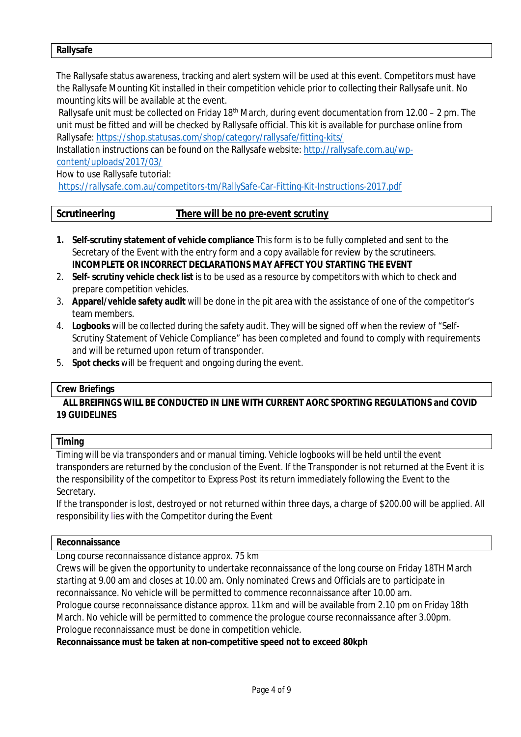#### **Rallysafe**

The Rallysafe status awareness, tracking and alert system will be used at this event. Competitors must have the Rallysafe Mounting Kit installed in their competition vehicle prior to collecting their Rallysafe unit. No mounting kits will be available at the event.

Rallysafe unit must be collected on Friday 18<sup>th</sup> March, during event documentation from 12.00 – 2 pm. The unit must be fitted and will be checked by Rallysafe official. This kit is available for purchase online from Rallysafe:<https://shop.statusas.com/shop/category/rallysafe/fitting-kits/>

Installation instructions can be found on the Rallysafe website: [http://rallysafe.com.au/wp](http://rallysafe.com.au/wp-content/uploads/2017/03/)[content/uploads/2017/03/](http://rallysafe.com.au/wp-content/uploads/2017/03/)

How to use Rallysafe tutorial:

<https://rallysafe.com.au/competitors-tm/RallySafe-Car-Fitting-Kit-Instructions-2017.pdf>

| There will be no pre-event scrutiny |
|-------------------------------------|
|-------------------------------------|

- **1. Self-scrutiny statement of vehicle compliance** This form is to be fully completed and sent to the Secretary of the Event with the entry form and a copy available for review by the scrutineers. **INCOMPLETE OR INCORRECT DECLARATIONS MAY AFFECT YOU STARTING THE EVENT**
- 2. **Self- scrutiny vehicle check list** is to be used as a resource by competitors with which to check and prepare competition vehicles.
- 3. **Apparel/vehicle safety audit** will be done in the pit area with the assistance of one of the competitor's team members.
- 4. **Logbooks** will be collected during the safety audit. They will be signed off when the review of "Self-Scrutiny Statement of Vehicle Compliance" has been completed and found to comply with requirements and will be returned upon return of transponder.
- 5. **Spot checks** will be frequent and ongoing during the event.

#### **Crew Briefings**

#### **ALL BREIFINGS WILL BE CONDUCTED IN LINE WITH CURRENT AORC SPORTING REGULATIONS and COVID 19 GUIDELINES**

#### **Timing**

Timing will be via transponders and or manual timing. Vehicle logbooks will be held until the event transponders are returned by the conclusion of the Event. If the Transponder is not returned at the Event it is the responsibility of the competitor to Express Post its return immediately following the Event to the Secretary.

If the transponder is lost, destroyed or not returned within three days, a charge of \$200.00 will be applied. All responsibility lies with the Competitor during the Event

#### **Reconnaissance**

Long course reconnaissance distance approx. 75 km

Crews will be given the opportunity to undertake reconnaissance of the long course on Friday 18TH March starting at 9.00 am and closes at 10.00 am. Only nominated Crews and Officials are to participate in reconnaissance. No vehicle will be permitted to commence reconnaissance after 10.00 am. Prologue course reconnaissance distance approx. 11km and will be available from 2.10 pm on Friday 18th

March. No vehicle will be permitted to commence the prologue course reconnaissance after 3.00pm. Prologue reconnaissance must be done in competition vehicle.

**Reconnaissance must be taken at non-competitive speed not to exceed 80kph**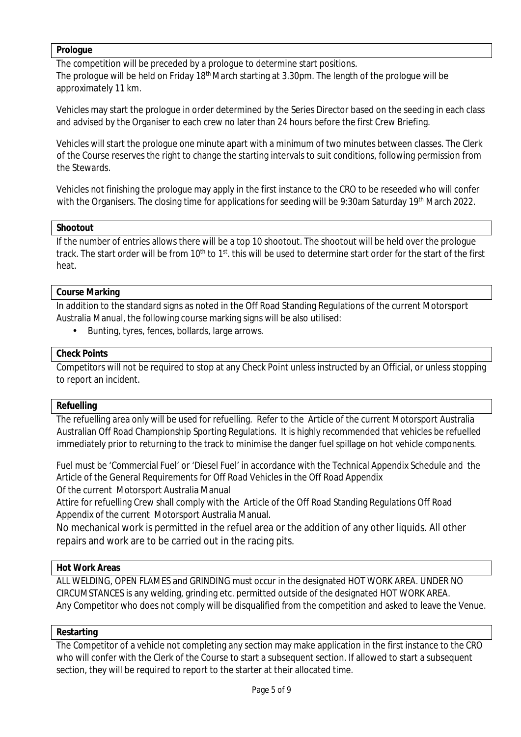#### **Prologue**

The competition will be preceded by a prologue to determine start positions. The prologue will be held on Friday 18<sup>th</sup> March starting at 3.30pm. The length of the prologue will be approximately 11 km.

Vehicles may start the prologue in order determined by the Series Director based on the seeding in each class and advised by the Organiser to each crew no later than 24 hours before the first Crew Briefing.

Vehicles will start the prologue one minute apart with a minimum of two minutes between classes. The Clerk of the Course reserves the right to change the starting intervals to suit conditions, following permission from the Stewards.

Vehicles not finishing the prologue may apply in the first instance to the CRO to be reseeded who will confer with the Organisers. The closing time for applications for seeding will be 9:30am Saturday 19<sup>th</sup> March 2022.

#### **Shootout**

If the number of entries allows there will be a top 10 shootout. The shootout will be held over the prologue track. The start order will be from 10<sup>th</sup> to 1<sup>st</sup>. this will be used to determine start order for the start of the first heat.

#### **Course Marking**

In addition to the standard signs as noted in the Off Road Standing Regulations of the current Motorsport Australia Manual, the following course marking signs will be also utilised:

Bunting, tyres, fences, bollards, large arrows.

#### **Check Points**

Competitors will not be required to stop at any Check Point unless instructed by an Official, or unless stopping to report an incident.

#### **Refuelling**

The refuelling area only will be used for refuelling. Refer to the Article of the current Motorsport Australia Australian Off Road Championship Sporting Regulations. It is highly recommended that vehicles be refuelled immediately prior to returning to the track to minimise the danger fuel spillage on hot vehicle components.

Fuel must be 'Commercial Fuel' or 'Diesel Fuel' in accordance with the Technical Appendix Schedule and the Article of the General Requirements for Off Road Vehicles in the Off Road Appendix Of the current Motorsport Australia Manual

Attire for refuelling Crew shall comply with the Article of the Off Road Standing Regulations Off Road Appendix of the current Motorsport Australia Manual.

No mechanical work is permitted in the refuel area or the addition of any other liquids. All other repairs and work are to be carried out in the racing pits.

#### **Hot Work Areas**

ALL WELDING, OPEN FLAMES and GRINDING must occur in the designated HOT WORK AREA. UNDER NO CIRCUMSTANCES is any welding, grinding etc. permitted outside of the designated HOT WORK AREA. Any Competitor who does not comply will be disqualified from the competition and asked to leave the Venue.

#### **Restarting**

The Competitor of a vehicle not completing any section may make application in the first instance to the CRO who will confer with the Clerk of the Course to start a subsequent section. If allowed to start a subsequent section, they will be required to report to the starter at their allocated time.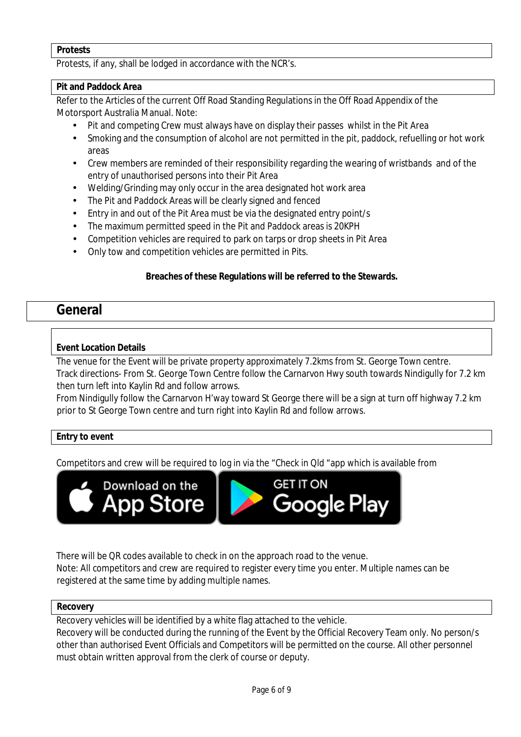#### **Protests**

Protests, if any, shall be lodged in accordance with the NCR's.

#### **Pit and Paddock Area**

Refer to the Articles of the current Off Road Standing Regulations in the Off Road Appendix of the Motorsport Australia Manual. Note:

- Pit and competing Crew must always have on display their passes whilst in the Pit Area
- Smoking and the consumption of alcohol are not permitted in the pit, paddock, refuelling or hot work areas
- Crew members are reminded of their responsibility regarding the wearing of wristbands and of the entry of unauthorised persons into their Pit Area
- Welding/Grinding may only occur in the area designated hot work area
- The Pit and Paddock Areas will be clearly signed and fenced
- Entry in and out of the Pit Area must be via the designated entry point/s
- The maximum permitted speed in the Pit and Paddock areas is 20KPH
- Competition vehicles are required to park on tarps or drop sheets in Pit Area
- Only tow and competition vehicles are permitted in Pits.

#### **Breaches of these Regulations will be referred to the Stewards.**

# **General**

#### **Event Location Details**

The venue for the Event will be private property approximately 7.2kms from St. George Town centre. Track directions- From St. George Town Centre follow the Carnarvon Hwy south towards Nindigully for 7.2 km then turn left into Kaylin Rd and follow arrows.

From Nindigully follow the Carnarvon H'way toward St George there will be a sign at turn off highway 7.2 km prior to St George Town centre and turn right into Kaylin Rd and follow arrows.

## **Entry to event**

Competitors and crew will be required to log in via the "Check in Qld "app which is available from



There will be QR codes available to check in on the approach road to the venue.

Note: All competitors and crew are required to register every time you enter. Multiple names can be registered at the same time by adding multiple names.

#### **Recovery**

Recovery vehicles will be identified by a white flag attached to the vehicle.

Recovery will be conducted during the running of the Event by the Official Recovery Team only. No person/s other than authorised Event Officials and Competitors will be permitted on the course. All other personnel must obtain written approval from the clerk of course or deputy.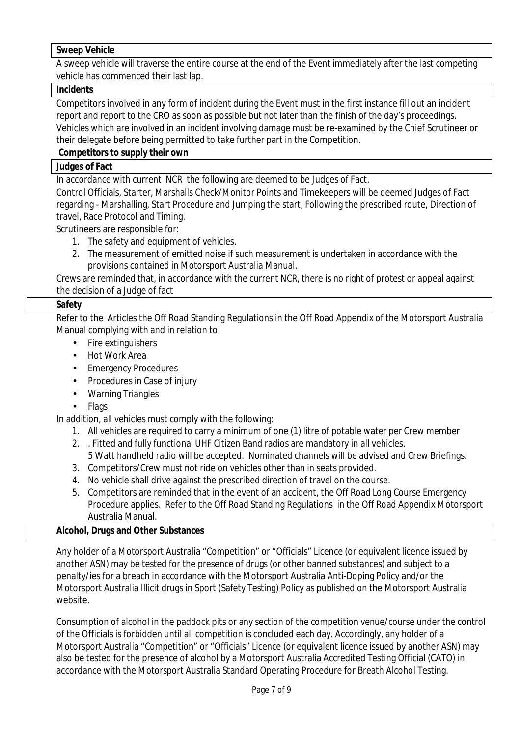#### **Sweep Vehicle**

A sweep vehicle will traverse the entire course at the end of the Event immediately after the last competing vehicle has commenced their last lap.

#### **Incidents**

Competitors involved in any form of incident during the Event must in the first instance fill out an incident report and report to the CRO as soon as possible but not later than the finish of the day's proceedings. Vehicles which are involved in an incident involving damage must be re-examined by the Chief Scrutineer or their delegate before being permitted to take further part in the Competition.

#### **Competitors to supply their own**

#### **Judges of Fact**

In accordance with current NCR the following are deemed to be Judges of Fact.

Control Officials, Starter, Marshalls Check/Monitor Points and Timekeepers will be deemed Judges of Fact regarding - Marshalling, Start Procedure and Jumping the start, Following the prescribed route, Direction of travel, Race Protocol and Timing.

Scrutineers are responsible for:

- 1. The safety and equipment of vehicles.
- 2. The measurement of emitted noise if such measurement is undertaken in accordance with the provisions contained in Motorsport Australia Manual.

Crews are reminded that, in accordance with the current NCR, there is no right of protest or appeal against the decision of a Judge of fact

#### **Safety**

Refer to the Articles the Off Road Standing Regulations in the Off Road Appendix of the Motorsport Australia Manual complying with and in relation to:

- Fire extinguishers
- Hot Work Area
- Emergency Procedures
- Procedures in Case of injury
- Warning Triangles
- Flags

In addition, all vehicles must comply with the following:

- 1. All vehicles are required to carry a minimum of one (1) litre of potable water per Crew member
- 2. . Fitted and fully functional UHF Citizen Band radios are mandatory in all vehicles.
	- 5 Watt handheld radio will be accepted. Nominated channels will be advised and Crew Briefings.
- 3. Competitors/Crew must not ride on vehicles other than in seats provided.
- 4. No vehicle shall drive against the prescribed direction of travel on the course.
- 5. Competitors are reminded that in the event of an accident, the Off Road Long Course Emergency Procedure applies. Refer to the Off Road Standing Regulations in the Off Road Appendix Motorsport Australia Manual.

#### **Alcohol, Drugs and Other Substances**

Any holder of a Motorsport Australia "Competition" or "Officials" Licence (or equivalent licence issued by another ASN) may be tested for the presence of drugs (or other banned substances) and subject to a penalty/ies for a breach in accordance with the Motorsport Australia Anti-Doping Policy and/or the Motorsport Australia Illicit drugs in Sport (Safety Testing) Policy as published on the Motorsport Australia website.

Consumption of alcohol in the paddock pits or any section of the competition venue/course under the control of the Officials is forbidden until all competition is concluded each day. Accordingly, any holder of a Motorsport Australia "Competition" or "Officials" Licence (or equivalent licence issued by another ASN) may also be tested for the presence of alcohol by a Motorsport Australia Accredited Testing Official (CATO) in accordance with the Motorsport Australia Standard Operating Procedure for Breath Alcohol Testing.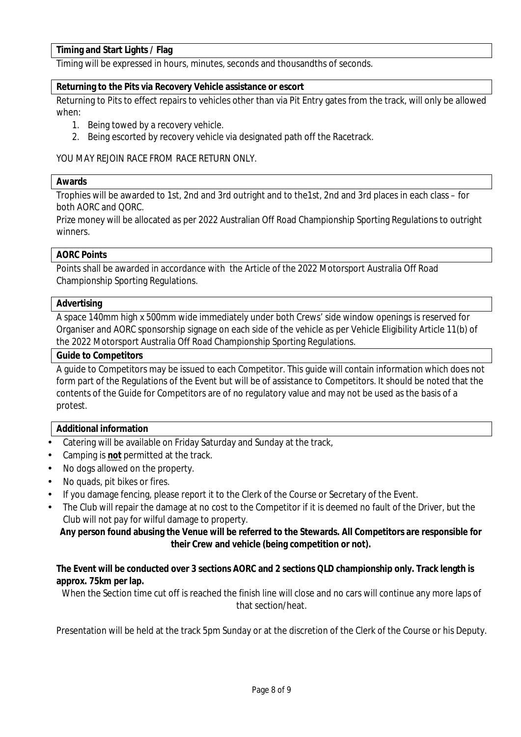#### **Timing and Start Lights / Flag**

Timing will be expressed in hours, minutes, seconds and thousandths of seconds.

#### **Returning to the Pits via Recovery Vehicle assistance or escort**

Returning to Pits to effect repairs to vehicles other than via Pit Entry gates from the track, will only be allowed when:

- 1. Being towed by a recovery vehicle.
- 2. Being escorted by recovery vehicle via designated path off the Racetrack.

#### YOU MAY REJOIN RACE FROM RACE RETURN ONLY.

#### **Awards**

Trophies will be awarded to 1st, 2nd and 3rd outright and to the1st, 2nd and 3rd places in each class – for both AORC and QORC.

Prize money will be allocated as per 2022 Australian Off Road Championship Sporting Regulations to outright winners.

#### **AORC Points**

Points shall be awarded in accordance with the Article of the 2022 Motorsport Australia Off Road Championship Sporting Regulations.

#### **Advertising**

A space 140mm high x 500mm wide immediately under both Crews' side window openings is reserved for Organiser and AORC sponsorship signage on each side of the vehicle as per Vehicle Eligibility Article 11(b) of the 2022 Motorsport Australia Off Road Championship Sporting Regulations.

#### **Guide to Competitors**

A guide to Competitors may be issued to each Competitor. This guide will contain information which does not form part of the Regulations of the Event but will be of assistance to Competitors. It should be noted that the contents of the Guide for Competitors are of no regulatory value and may not be used as the basis of a protest.

#### **Additional information**

- Catering will be available on Friday Saturday and Sunday at the track,
- Camping is **not** permitted at the track.
- No dogs allowed on the property.
- No quads, pit bikes or fires.
- If you damage fencing, please report it to the Clerk of the Course or Secretary of the Event.
- The Club will repair the damage at no cost to the Competitor if it is deemed no fault of the Driver, but the Club will not pay for wilful damage to property.

**Any person found abusing the Venue will be referred to the Stewards. All Competitors are responsible for their Crew and vehicle (being competition or not).**

#### **The Event will be conducted over 3 sections AORC and 2 sections QLD championship only. Track length is approx. 75km per lap.**

When the Section time cut off is reached the finish line will close and no cars will continue any more laps of that section/heat.

Presentation will be held at the track 5pm Sunday or at the discretion of the Clerk of the Course or his Deputy.